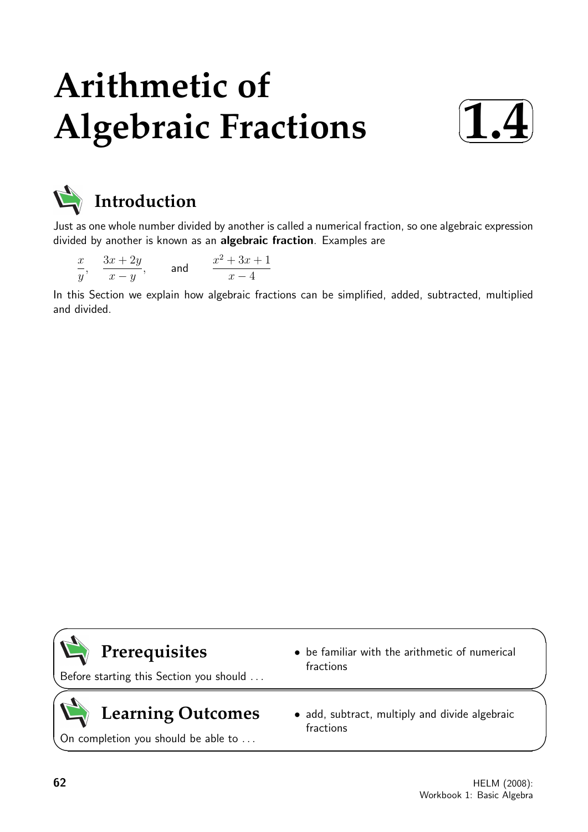# **Arithmetic of Algebraic Fractions**





# **Introduction**

Just as one whole number divided by another is called a numerical fraction, so one algebraic expression divided by another is known as an algebraic fraction. Examples are

| $\boldsymbol{x}$ | $3x + 2y$ | and | $x^2 + 3x + 1$ |
|------------------|-----------|-----|----------------|
|                  | $x - i$   |     | $x-4$          |

In this Section we explain how algebraic fractions can be simplified, added, subtracted, multiplied and divided.

# **Prerequisites**

Before starting this Section you should . . .

# **Learning Outcomes**

On completion you should be able to ...

- be familiar with the arithmetic of numerical fractions
- add, subtract, multiply and divide algebraic fractions

 $\overline{\phantom{0}}$ 

 $\geq$ 

 $\geq$ 

 $\overline{\phantom{0}}$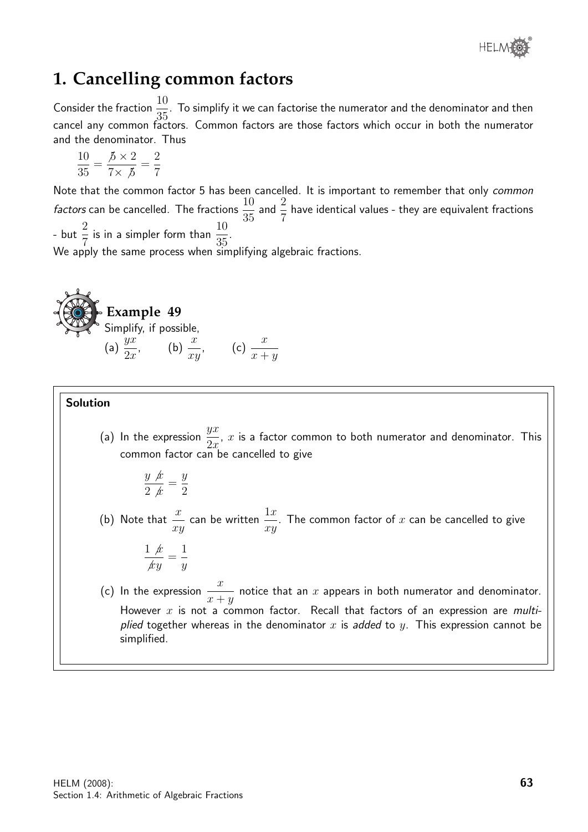

# **1. Cancelling common factors**

Consider the fraction  $\frac{10}{25}$ 35 . To simplify it we can factorise the numerator and the denominator and then cancel any common factors. Common factors are those factors which occur in both the numerator and the denominator. Thus

$$
\frac{10}{35} = \frac{\cancel{5} \times 2}{7 \times \cancel{5}} = \frac{2}{7}
$$

Note that the common factor 5 has been cancelled. It is important to remember that only *common factors* can be cancelled. The fractions  $\frac{10}{25}$ 35 and  $\frac{2}{7}$ 7 have identical values - they are equivalent fractions - but  $\frac{2}{7}$ 7 is in a simpler form than  $\frac{10}{25}$ 35 . We apply the same process when simplifying algebraic fractions.



### Solution

(a) In the expression  $\frac{yx}{2}$  $2x$ ,  $x$  is a factor common to both numerator and denominator. This common factor can be cancelled to give

$$
\frac{y \cancel{x}}{2 \cancel{x}} = \frac{y}{2}
$$

(b) Note that  $\frac{x}{x}$ xy can be written  $\frac{1 x}{ }$ xy . The common factor of  $x$  can be cancelled to give

$$
\frac{1 \cancel{x}}{\cancel{xy}} = \frac{1}{y}
$$

(c) In the expression  $\frac{x}{x}$  $x + y$ notice that an  $x$  appears in both numerator and denominator. However  $x$  is not a common factor. Recall that factors of an expression are *multi*plied together whereas in the denominator x is added to y. This expression cannot be simplified.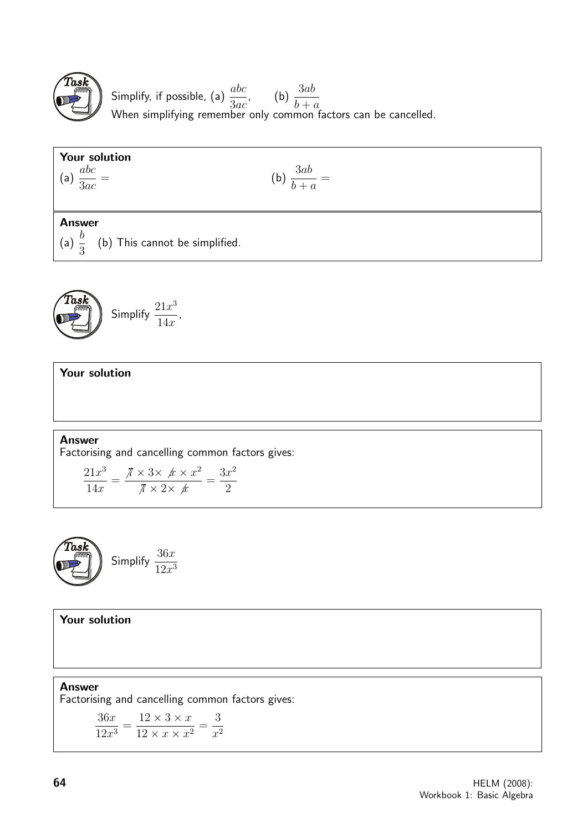

Simplify, if possible, (a)  $\frac{abc}{2}$ 3ac , (b)  $\frac{3ab}{1}$  $b + a$ When simplifying remember only common factors can be cancelled.

# Your solution

(a)  $\frac{abc}{2}$ 3ac

$$
= \qquad \qquad \text{(b)} \ \frac{3ab}{b+a} =
$$

# Answer

(a)  $\frac{b}{2}$ 3 (b) This cannot be simplified.

$$
\left(\begin{matrix}\n\text{Task} \\
\text{Simplify } \frac{21x^3}{14x},\n\end{matrix}\right)
$$

Your solution

Answer Factorising and cancelling common factors gives:

$$
\frac{21x^3}{14x} = \frac{\pi \times 3 \times \cancel{x} \times x^2}{\pi \times 2 \times \cancel{x}} = \frac{3x^2}{2}
$$



Your solution

Answer Factorising and cancelling common factors gives:

> 36x  $\frac{36x}{12x^3} =$  $12 \times 3 \times x$  $\frac{12 \times 3 \times x}{12 \times x \times x^2} =$ 3  $x^2$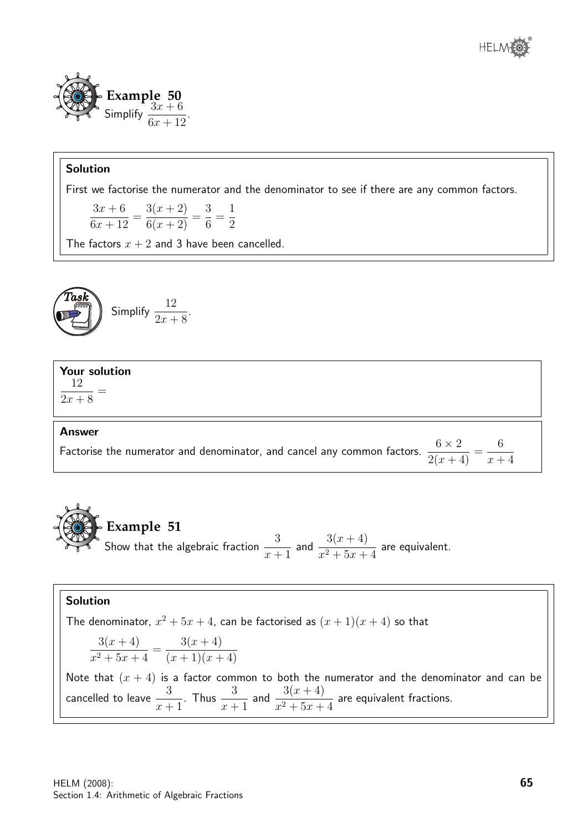



First we factorise the numerator and the denominator to see if there are any common factors.

 $3x + 6$  $6x + 12$ =  $3(x + 2)$  $\frac{6(x+2)}{6(x+2)}$  = 3 6 = 1 2

The factors  $x + 2$  and 3 have been cancelled.

$$
\left(\begin{array}{c}\n\text{Task} \\
\hline\n\end{array}\right) \quad \text{Simplify } \frac{12}{2x+8}.
$$

#### Your solution 12 =

 $2x + 8$ 

#### Answer

Factorise the numerator and denominator, and cancel any common factors.  $\frac{6\times 2}{\frac{6\times 2}{\frac{6\times 2}{\frac{6\times 2}{\frac{6\times 2}{\frac{6\times 2}{\frac{6\times 2}{\frac{6\times 2}{\frac{6\times 2}{\frac{6\times 2}{\frac{6\times 2}{\frac{6\times 2}{\frac{6\times 2}{\frac{6\times 2}{\frac{6\times 2}{\frac{6\times 2}{\frac{6$  $\frac{3x^2}{2(x+4)}$  = 6  $x + 4$ 

**Example 51** Show that the algebraic fraction  $\frac{3}{2}$  $x + 1$ and  $\frac{3(x + 4)}{x}$  $\frac{3(x+1)}{x^2+5x+4}$  are equivalent.

# Solution

The denominator,  $x^2 + 5x + 4$ , can be factorised as  $(x + 1)(x + 4)$  so that  $3(x + 4)$  $\frac{3(x+1)}{x^2+5x+4} =$  $3(x + 4)$  $(x+1)(x+4)$ Note that  $(x + 4)$  is a factor common to both the numerator and the denominator and can be cancelled to leave  $\frac{3}{4}$  $x + 1$ . Thus  $\frac{3}{4}$  $x + 1$ and  $\frac{3(x + 4)}{x}$  $\frac{3(x+1)}{x^2+5x+4}$  are equivalent fractions.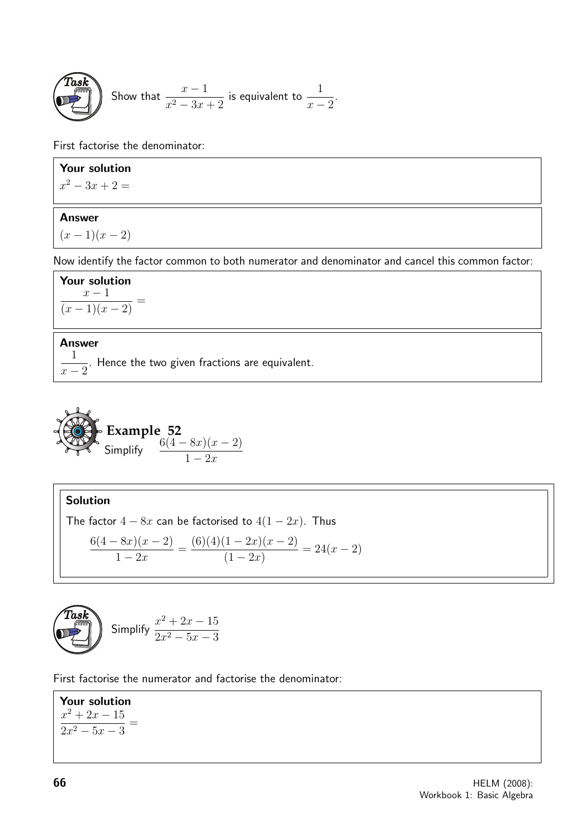**Task** Show that 
$$
\frac{x-1}{x^2-3x+2}
$$
 is equivalent to  $\frac{1}{x-2}$ .

First factorise the denominator:

# Your solution

 $x^2 - 3x + 2 =$ 

# Answer

 $(x - 1)(x - 2)$ 

Now identify the factor common to both numerator and denominator and cancel this common factor:

Your solution  $x - 1$  $\frac{x}{(x-1)(x-2)}$  =

### Answer

1  $x - 2$ . Hence the two given fractions are equivalent.

Example 52  
Simplify 
$$
\frac{6(4-8x)(x-2)}{1-2x}
$$

Solution

The factor 
$$
4 - 8x
$$
 can be factorised to  $4(1 - 2x)$ . Thus  
\n
$$
\frac{6(4 - 8x)(x - 2)}{1 - 2x} = \frac{(6)(4)(1 - 2x)(x - 2)}{(1 - 2x)} = 24(x - 2)
$$

$$
\left(\begin{array}{c}\n\text{Task} \\
\text{Simplify } \frac{x^2 + 2x - 15}{2x^2 - 5x - 3}\n\end{array}\right)
$$

First factorise the numerator and factorise the denominator:

Your solution  $x^2 + 2x - 15$  $\frac{x^{2}-5x-3}{2x^{2}-5x-3}$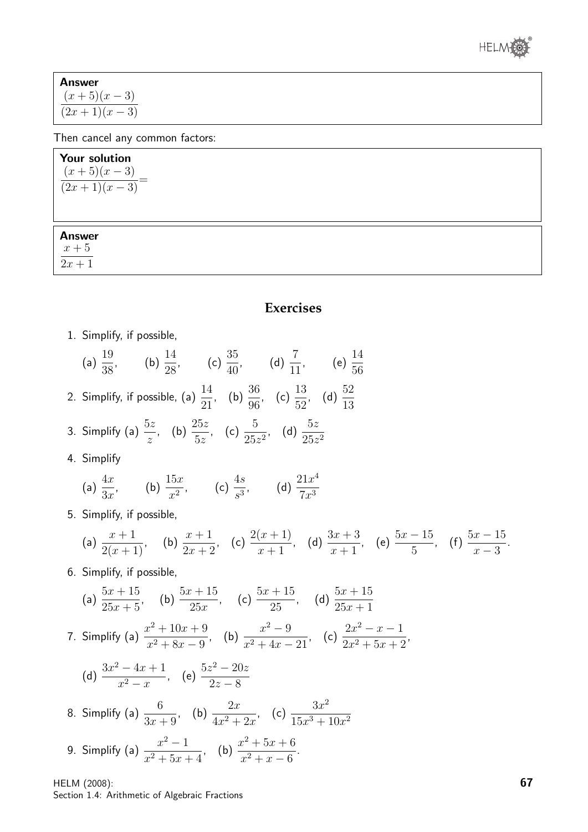

| Answer        |  |  |  |  |
|---------------|--|--|--|--|
| $(x+5)(x-3)$  |  |  |  |  |
| $(2x+1)(x-3)$ |  |  |  |  |

Then cancel any common factors:

# Your solution  $(x+5)(x-3)$  $\frac{(x+3)(x-3)}{(2x+1)(x-3)} =$

Answer

 $x+\sqrt{5}$ 

 $\overline{2x+1}$ 

# **Exercises**

1. Simplify, if possible,

(a) 
$$
\frac{19}{38}
$$
, (b)  $\frac{14}{28}$ , (c)  $\frac{35}{40}$ , (d)  $\frac{7}{11}$ , (e)  $\frac{14}{56}$ 

- 2. Simplify, if possible, (a)  $\frac{14}{21}$ 21  $, (b) \frac{36}{28}$ 96 , (c)  $\frac{13}{50}$ 52 , (d)  $\frac{52}{18}$ 13
- 3. Simplify (a)  $\frac{5z}{4}$ z , (b)  $\frac{25z}{5}$  $5z$ , (c)  $\frac{5}{25}$  $rac{5}{25z^2}$ , (d)  $rac{5z}{25z}$  $25z^2$
- 4. Simplify

(a) 
$$
\frac{4x}{3x}
$$
, (b)  $\frac{15x}{x^2}$ , (c)  $\frac{4s}{s^3}$ , (d)  $\frac{21x^4}{7x^3}$ 

5. Simplify, if possible,

(a) 
$$
\frac{x+1}{2(x+1)}
$$
, (b)  $\frac{x+1}{2x+2}$ , (c)  $\frac{2(x+1)}{x+1}$ , (d)  $\frac{3x+3}{x+1}$ , (e)  $\frac{5x-15}{5}$ , (f)  $\frac{5x-15}{x-3}$ .

6. Simplify, if possible,

(a) 
$$
\frac{5x+15}{25x+5}
$$
, (b)  $\frac{5x+15}{25x}$ , (c)  $\frac{5x+15}{25}$ , (d)  $\frac{5x+15}{25x+1}$   
\n7. Simplify (a)  $\frac{x^2+10x+9}{x^2+8x-9}$ , (b)  $\frac{x^2-9}{x^2+4x-21}$ , (c)  $\frac{2x^2-x-1}{2x^2+5x+2}$ ,  
\n(d)  $\frac{3x^2-4x+1}{x^2-x}$ , (e)  $\frac{5z^2-20z}{2z-8}$   
\n8. Simplify (a)  $\frac{6}{3x+9}$ , (b)  $\frac{2x}{4x^2+2x}$ , (c)  $\frac{3x^2}{15x^3+10x^2}$   
\n9. Simplify (a)  $\frac{x^2-1}{x^2+5x+4}$ , (b)  $\frac{x^2+5x+6}{x^2+x-6}$ .

HELM (2008): Section 1.4: Arithmetic of Algebraic Fractions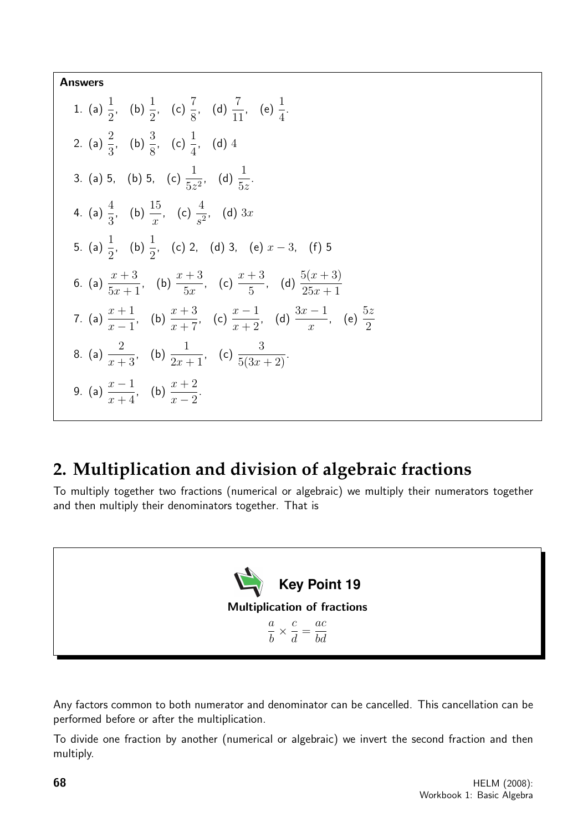Answers

1. (a) 
$$
\frac{1}{2}
$$
, (b)  $\frac{1}{2}$ , (c)  $\frac{7}{8}$ , (d)  $\frac{7}{11}$ , (e)  $\frac{1}{4}$ .  
\n2. (a)  $\frac{2}{3}$ , (b)  $\frac{3}{8}$ , (c)  $\frac{1}{4}$ , (d) 4  
\n3. (a) 5, (b) 5, (c)  $\frac{1}{5z^2}$ , (d)  $\frac{1}{5z}$ .  
\n4. (a)  $\frac{4}{3}$ , (b)  $\frac{15}{x}$ , (c)  $\frac{4}{s^2}$ , (d) 3x  
\n5. (a)  $\frac{1}{2}$ , (b)  $\frac{1}{2}$ , (c) 2, (d) 3, (e)  $x - 3$ , (f) 5  
\n6. (a)  $\frac{x+3}{5x+1}$ , (b)  $\frac{x+3}{5x}$ , (c)  $\frac{x+3}{5}$ , (d)  $\frac{5(x+3)}{25x+1}$   
\n7. (a)  $\frac{x+1}{x-1}$ , (b)  $\frac{x+3}{x+7}$ , (c)  $\frac{x-1}{x+2}$ , (d)  $\frac{3x-1}{x}$ , (e)  $\frac{5z}{2}$   
\n8. (a)  $\frac{2}{x+3}$ , (b)  $\frac{1}{2x+1}$ , (c)  $\frac{3}{5(3x+2)}$ .  
\n9. (a)  $\frac{x-1}{x+4}$ , (b)  $\frac{x+2}{x-2}$ .

# **2. Multiplication and division of algebraic fractions**

To multiply together two fractions (numerical or algebraic) we multiply their numerators together and then multiply their denominators together. That is



Any factors common to both numerator and denominator can be cancelled. This cancellation can be performed before or after the multiplication.

To divide one fraction by another (numerical or algebraic) we invert the second fraction and then multiply.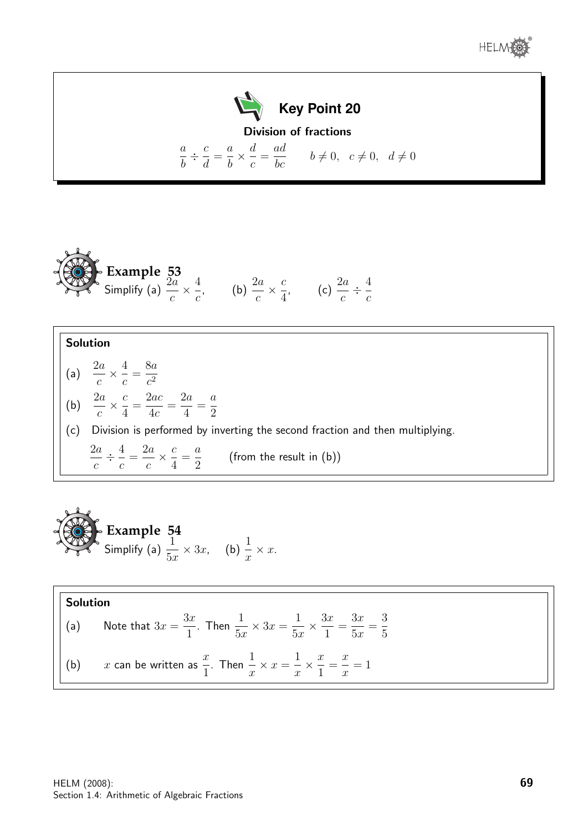



**Example 53**  
Simplify (a) 
$$
\frac{2a}{c} \times \frac{4}{c}
$$
, (b)  $\frac{2a}{c} \times \frac{c}{4}$ , (c)  $\frac{2a}{c} \div \frac{4}{c}$ 

(a)  $\frac{2a}{2}$ c  $\times \frac{4}{5}$ c = 8a  $c^2$ (b)  $\frac{2a}{2}$ c  $\times \frac{c}{4}$ 4 = 2ac  $4c$ =  $2a$ 4 = a 2

(c) Division is performed by inverting the second fraction and then multiplying.

 $2a$ c  $\div^4$ c =  $2a$ c  $\times \frac{c}{4}$ 4 = a 2 (from the result in (b))

**Example 54**  
Simplify (a) 
$$
\frac{1}{5x} \times 3x
$$
, (b)  $\frac{1}{x} \times x$ .

**Solution**  
\n(a) Note that 
$$
3x = \frac{3x}{1}
$$
. Then  $\frac{1}{5x} \times 3x = \frac{1}{5x} \times \frac{3x}{1} = \frac{3x}{5x} = \frac{3}{5}$   
\n(b) *x* can be written as  $\frac{x}{1}$ . Then  $\frac{1}{x} \times x = \frac{1}{x} \times \frac{x}{1} = \frac{x}{x} = 1$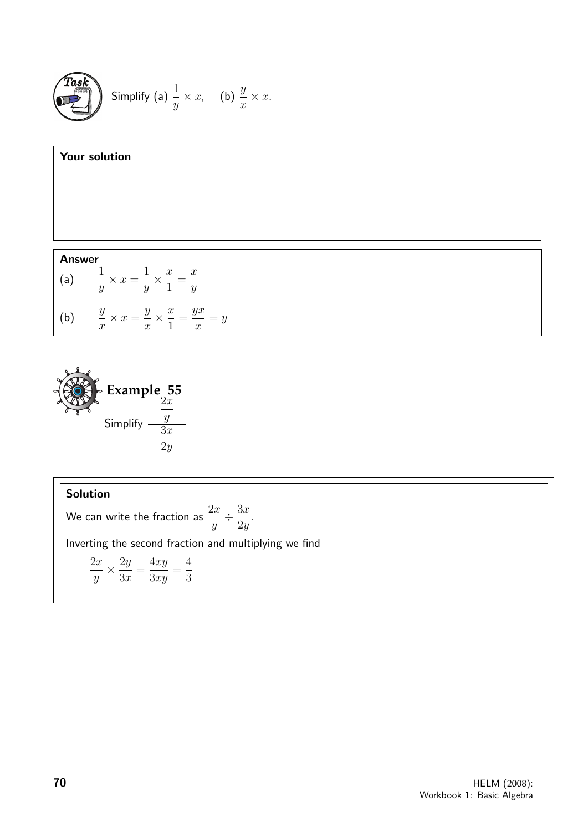





We can write the fraction as  $\frac{2x}{4}$  $\hat{y}$  $\div \frac{3x}{2}$  $2y$ . Inverting the second fraction and multiplying we find  $2x$  $\hat{y}$  $\times \frac{2y}{2}$  $3x$ =  $4xy$  $3xy$ = 4 3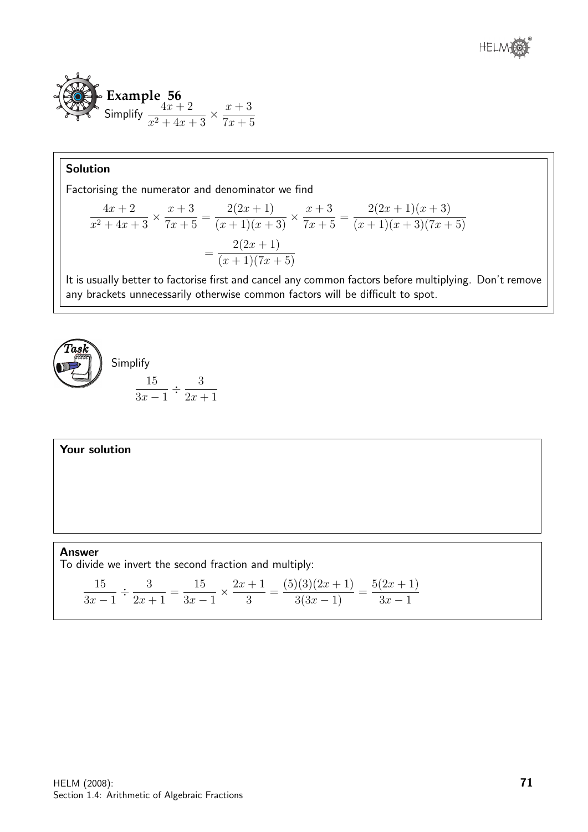

Factorising the numerator and denominator we find

$$
\frac{4x+2}{x^2+4x+3} \times \frac{x+3}{7x+5} = \frac{2(2x+1)}{(x+1)(x+3)} \times \frac{x+3}{7x+5} = \frac{2(2x+1)(x+3)}{(x+1)(x+3)(7x+5)}
$$

$$
= \frac{2(2x+1)}{(x+1)(7x+5)}
$$

It is usually better to factorise first and cancel any common factors before multiplying. Don't remove any brackets unnecessarily otherwise common factors will be difficult to spot.



# Your solution

Answer To divide we invert the second fraction and multiply:

15  $3x - 1$  $\div \frac{3}{2}$  $2x + 1$ = 15  $3x - 1$  $\times \frac{2x+1}{2}$ 3 =  $(5)(3)(2x+1)$  $\frac{3(3x-1)}{3(3x-1)} =$  $5(2x + 1)$  $3x - 1$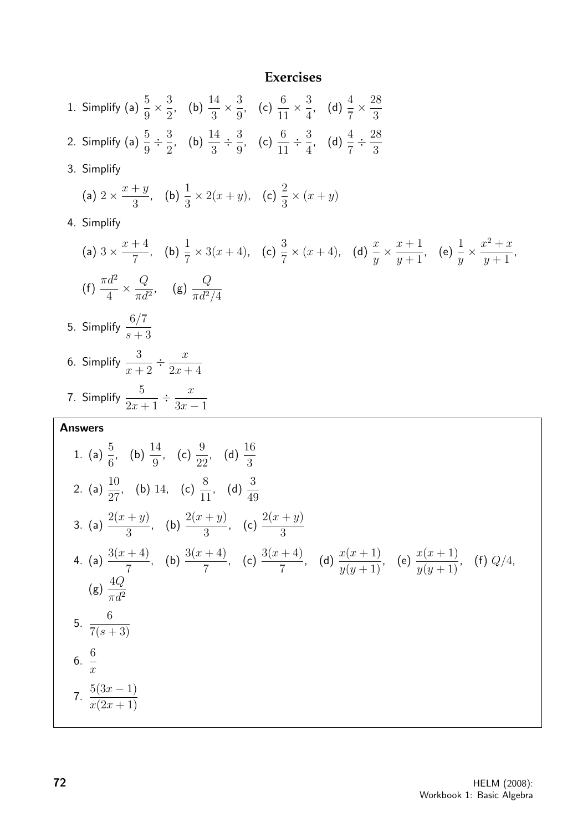#### **Exercises**

1. Simplify (a)  $\frac{5}{9}$ 9  $\times \frac{3}{2}$ 2 , (b)  $\frac{14}{2}$ 3  $\times\frac{3}{6}$ 9 , (c)  $\frac{6}{11}$ 11  $\times\frac{3}{4}$ 4 , (d)  $\frac{4}{7}$ 7  $\times \frac{28}{2}$ 3 2. Simplify (a)  $\frac{5}{9}$ 9  $\div \frac{3}{2}$ 2 , (b)  $\frac{14}{2}$ 3  $\div \frac{3}{2}$ 9 , (c)  $\frac{6}{11}$ 11  $\div \frac{3}{4}$ 4 , (d)  $\frac{4}{7}$ 7  $\div \frac{28}{2}$ 3 3. Simplify (a)  $2 \times \frac{x+y}{2}$ 3 , (b)  $\frac{1}{2}$ 3  $\times 2(x+y)$ , (c)  $\frac{2}{2}$ 3  $\times (x + y)$ 4. Simplify (a)  $3 \times \frac{x+4}{7}$ 7 , (b)  $\frac{1}{7}$ 7  $\times 3(x+4)$ , (c)  $\frac{3}{7}$ 7  $\times$   $(x+4)$ , (d)  $\frac{x}{x}$  $\hat{y}$  $\times \frac{x+1}{1}$  $y+1$ , (e)  $\frac{1}{1}$  $\hat{y}$  $\times \frac{x^2+x}{1}$  $y+1$ , (f)  $\frac{\pi d^2}{4}$ 4  $\times \frac{Q}{I}$  $\pi d^2$ , (g)  $\frac{Q}{r^2}$  $\pi d^2/4$ 5. Simplify  $\frac{6/7}{4}$  $s+3$ 6. Simplify  $\frac{3}{4}$  $x + 2$  $\frac{x}{2}$  $2x + 4$ 7. Simplify  $\frac{5}{2}$  $2x + 1$  $\div \frac{x}{2}$  $3x - 1$ Answers 1. (a)  $\frac{5}{6}$ 6 , (b)  $\frac{14}{9}$ 9 , (c)  $\frac{9}{20}$ 22 , (d)  $\frac{16}{9}$ 3 2. (a)  $\frac{10}{27}$ 27 , (b) 14, (c)  $\frac{8}{11}$ 11 , (d)  $\frac{3}{10}$ 49 3. (a)  $\frac{2(x+y)}{2}$ 3 , (b)  $\frac{2(x+y)}{2}$ 3 , (c)  $\frac{2(x+y)}{2}$ 3 4. (a)  $\frac{3(x+4)}{2}$ 7  $(b) \frac{3(x+4)}{7}$ 7 , (c)  $\frac{3(x+4)}{2}$ 7 (d)  $\frac{x(x+1)}{y(y+1)}$ , (e)  $\frac{x(x+1)}{y(y+1)}$ , (f)  $Q/4$ ,  $(g) \frac{4Q}{r}$  $\pi d^2$ 5. 6  $7(s + 3)$ 6. 6  $\boldsymbol{x}$ 7.  $5(3x-1)$  $x(2x + 1)$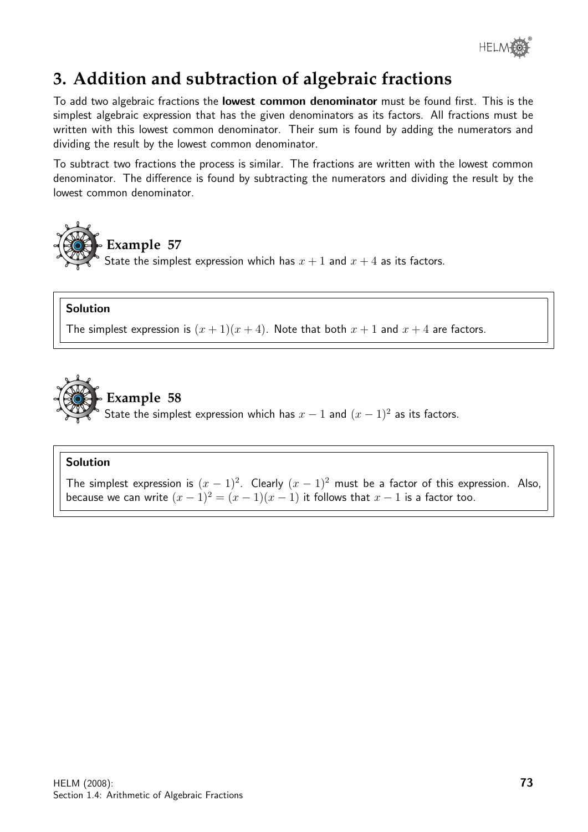

# **3. Addition and subtraction of algebraic fractions**

To add two algebraic fractions the lowest common denominator must be found first. This is the simplest algebraic expression that has the given denominators as its factors. All fractions must be written with this lowest common denominator. Their sum is found by adding the numerators and dividing the result by the lowest common denominator.

To subtract two fractions the process is similar. The fractions are written with the lowest common denominator. The difference is found by subtracting the numerators and dividing the result by the lowest common denominator.



# Solution

The simplest expression is  $(x + 1)(x + 4)$ . Note that both  $x + 1$  and  $x + 4$  are factors.



**Example 58** State the simplest expression which has  $x - 1$  and  $(x - 1)^2$  as its factors.

### Solution

The simplest expression is  $(x - 1)^2$ . Clearly  $(x - 1)^2$  must be a factor of this expression. Also, because we can write  $(x - 1)^2 = (x - 1)(x - 1)$  it follows that  $x - 1$  is a factor too.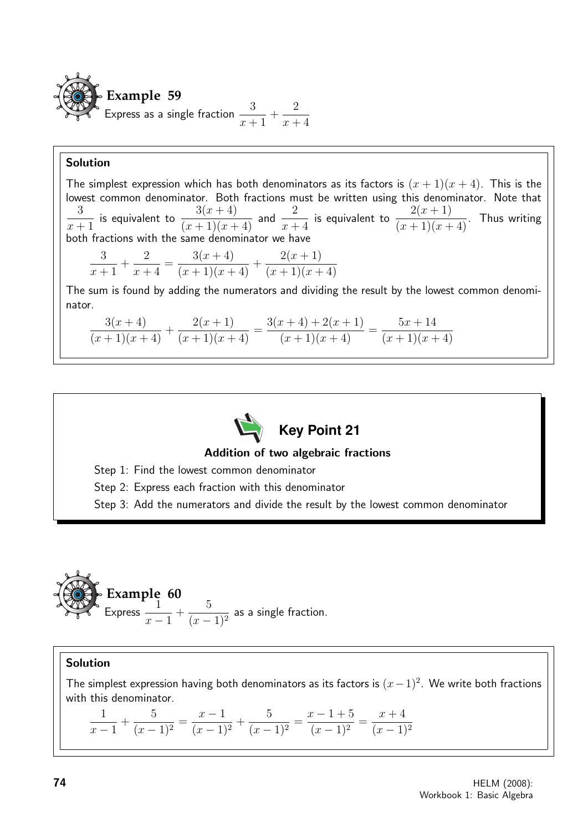

The simplest expression which has both denominators as its factors is  $(x + 1)(x + 4)$ . This is the lowest common denominator. Both fractions must be written using this denominator. Note that 3  $x + 1$ is equivalent to  $\frac{3(x+4)}{(x+1)(x+4)}$  and  $\frac{2}{x+4}$ is equivalent to  $\frac{2(x+1)}{x}$  $\frac{2(x+1)}{(x+1)(x+4)}$ . Thus writing both fractions with the same denominator we have 3  $x + 1$  $+$ 2  $x + 4$ =  $3(x + 4)$  $\frac{G(x+1)}{(x+1)(x+4)} +$  $2(x + 1)$  $(x+1)(x+4)$ The sum is found by adding the numerators and dividing the result by the lowest common denominator.

$$
\frac{3(x+4)}{(x+1)(x+4)} + \frac{2(x+1)}{(x+1)(x+4)} = \frac{3(x+4) + 2(x+1)}{(x+1)(x+4)} = \frac{5x+14}{(x+1)(x+4)}
$$



Addition of two algebraic fractions

Step 1: Find the lowest common denominator

Step 2: Express each fraction with this denominator

Step 3: Add the numerators and divide the result by the lowest common denominator



# Solution

The simplest expression having both denominators as its factors is  $(x-1)^2$ . We write both fractions with this denominator.

1  $x - 1$ + 5  $\frac{6}{(x-1)^2} =$  $x - 1$  $\frac{x}{(x-1)^2}$  + 5  $\frac{6}{(x-1)^2} =$  $x - 1 + 5$  $\frac{(x-1)^2}{(x-1)^2}$  =  $x + 4$  $(x - 1)^2$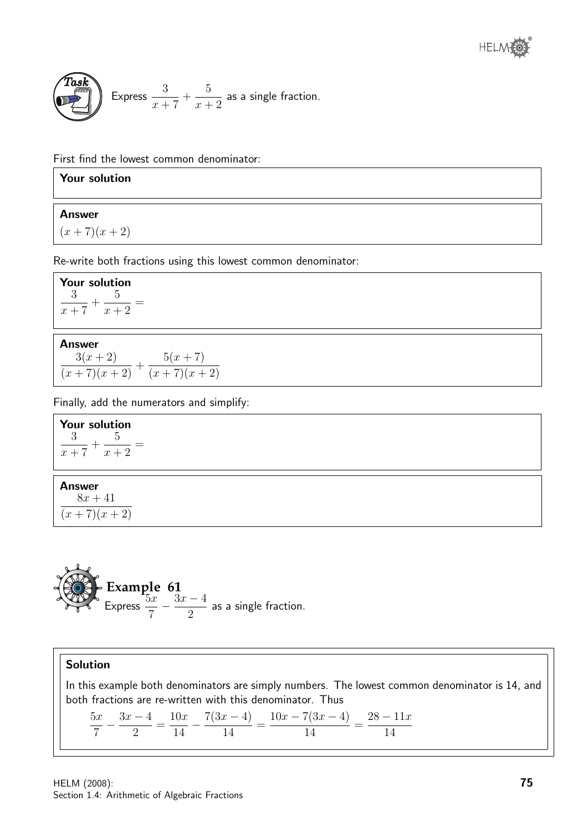

**Task**  
Express 
$$
\frac{3}{x+7} + \frac{5}{x+2}
$$
 as a single fraction.

First find the lowest common denominator:

### Your solution

#### Answer

 $(x+7)(x+2)$ 

Re-write both fractions using this lowest common denominator:

Your solution 3  $x + 7$  $+$ 5  $x + 2$ =

#### Answer

 $3(x + 2)$  $\frac{G(x+2)}{(x+7)(x+2)} +$  $5(x + 7)$  $(x+7)(x+2)$ 

Finally, add the numerators and simplify:

Your solution 3  $x + 7$  $+$ 5  $x + 2$ =

# Answer

 $8x + 41$  $\frac{1}{(x+7)(x+2)}$ 

**Example 61**  
Express 
$$
\frac{5x}{7} - \frac{3x - 4}{2}
$$
 as a single fraction.

# Solution

In this example both denominators are simply numbers. The lowest common denominator is 14, and both fractions are re-written with this denominator. Thus

 $5x$ 7  $-\frac{3x-4}{2}$ 2 =  $10x$ 14  $-\frac{7(3x-4)}{14}$ 14 =  $10x - 7(3x - 4)$ 14 =  $28 - 11x$ 14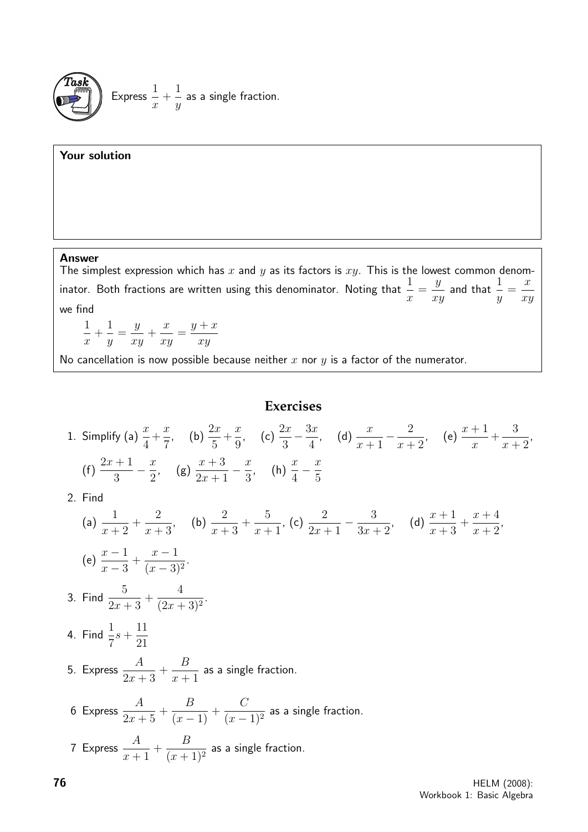

#### Your solution

#### Answer

The simplest expression which has x and y as its factors is  $xy$ . This is the lowest common denominator. Both fractions are written using this denominator. Noting that  $\frac{1}{1}$  $\overline{x}$ =  $\hat{y}$ xy and that  $\frac{1}{1}$  $\hat{y}$ =  $\boldsymbol{x}$ xy we find

$$
\frac{1}{x} + \frac{1}{y} = \frac{y}{xy} + \frac{x}{xy} = \frac{y+x}{xy}
$$

No cancellation is now possible because neither  $x$  nor  $y$  is a factor of the numerator.

# **Exercises**

1. Simplify (a) 
$$
\frac{x}{4} + \frac{x}{7}
$$
, (b)  $\frac{2x}{5} + \frac{x}{9}$ , (c)  $\frac{2x}{3} - \frac{3x}{4}$ , (d)  $\frac{x}{x+1} - \frac{2}{x+2}$ , (e)  $\frac{x+1}{x} + \frac{3}{x+2}$ ,  
(f)  $\frac{2x+1}{3} - \frac{x}{2}$ , (g)  $\frac{x+3}{2x+1} - \frac{x}{3}$ , (h)  $\frac{x}{4} - \frac{x}{5}$ 

2. Find

(a) 
$$
\frac{1}{x+2} + \frac{2}{x+3}
$$
, (b)  $\frac{2}{x+3} + \frac{5}{x+1}$ , (c)  $\frac{2}{2x+1} - \frac{3}{3x+2}$ , (d)  $\frac{x+1}{x+3} + \frac{x+4}{x+2}$ ,  
\n(e)  $\frac{x-1}{x-3} + \frac{x-1}{(x-3)^2}$ .  
\n3. Find  $\frac{5}{2x+3} + \frac{4}{(2x+3)^2}$ .  
\n4. Find  $\frac{1}{7}s + \frac{11}{21}$   
\n5. Express  $\frac{A}{2x+3} + \frac{B}{x+1}$  as a single fraction.  
\n6 Express  $\frac{A}{2x+5} + \frac{B}{(x-1)} + \frac{C}{(x-1)^2}$  as a single fraction.  
\n7 Express  $\frac{A}{x+1} + \frac{B}{(x+1)^2}$  as a single fraction.